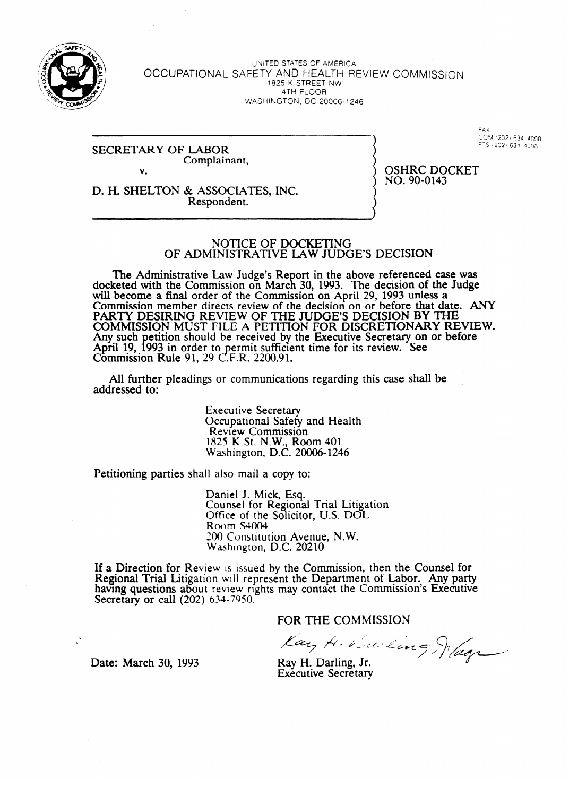

UNITED STATES OF AMERICA OCCUPATIONAL SAFETY AND HEALTH REVIEW COMMISSION 1825 K STREET NW 4TH-FLOOR WASHINGTON, DC 20006- 1246

#### SECRETARY OF LABOR Complainant, v.

COM (202) 634-4008 FTS (202) 634-4008

D. H. SHELTON & ASSOCIATES, INC. Respondent.

OSHRC DOCKET NO. 90-0143

# INISTRATIVE LAW ILIN OF ADMINISTRATIVE LAW JUDGE'S DECISION

The Administrative Law Judge's Report in the above referenced case was docketed with the Commission on March 30, 1993. The decision of the Judge will become a final order of the Commission on April 29, 1993 unless a will become a final order of the Commission on April 29, 1993 unless a ''' Commission member directs review of the decision on or before that date. Any  $\tau$ COMMISSION MUST FILE A PETITION FOR DISCRETIONARY RE Any such petition should be received by the Executive Secretary on or before. Any such performance of received by the Executive Secretary on or before-<br>Any 1993 in order to permit sufficient time for its review. See  $\frac{1}{2}$ Commission Rule 91, 29 C.F.R. 2200.91. Commission Rule 91, 29 c! .F.R. 2200.91.

All further pleadings or communications regarding this case shall be addressed to: addressed to:

> Executive Secretary<br>Occupational Safety and Health Review Commission 825 K St. N.W., Ro Washington, D.C. 20006-124 Washington, D.C. 20006-20006-20006-20006-20006-20006-20006-20006-20006-20006-20006-20006-20006-20006-20006-20<br>Extendid and D.C. 20006-20006-20006-20006-20006-20006-20006-20006-20006-20006-20006-20006-20006-20006-20006-20

Petitioning parties shall also mail a copy to:

Counsel for Regional Trial Litigation Office of the Solicitor, U.S.  $DOL$  $Rowm$  S4004 200 Constitution Avenue, N.W. Washington, D.C. 20210

If a Direction for Review is issued by the Commission, then the Counsel for Regional Trial Litigation will represent the Department of Labor. Any party having questions about review rights may contact the Commission's Executive Secretary or call  $(202)$  634-7950.

FOR THE COMMISSION

 $F$  the commission of  $\mathcal{F}$ 

Date: March 30, 1993

I... II I La -ii a a go fi le a chuid an I **Executive Secretary**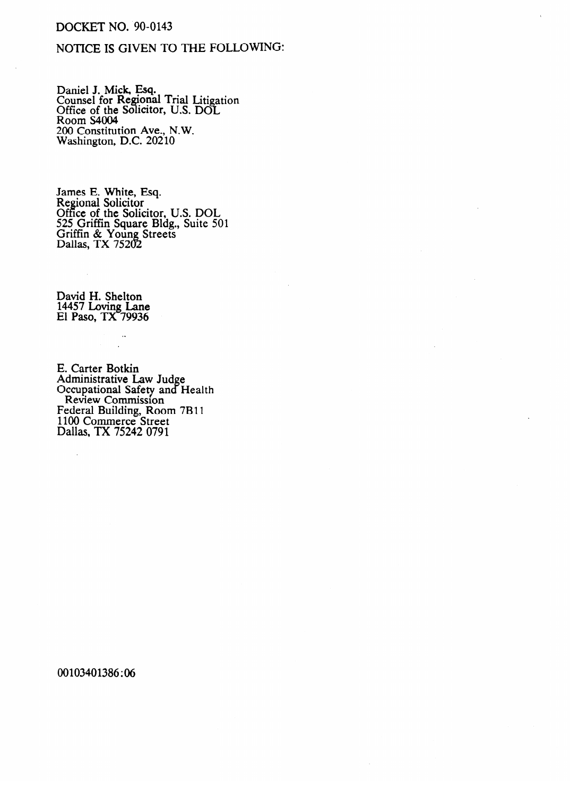# **DOCKET NO. 90-0143**

## NOTICE IS GIVEN TO THE FOLLOWING:

Daniel J. Mick, Esq.<br>Counsel for Regional Trial Litigation<br>Office of the Solicitor, U.S. DOL<br>Room S4004 200 Constitution Ave., N.W.<br>Washington, D.C. 20210

James E. White, Esq.<br>Regional Solicitor<br>Office of the Solicitor, U.S. DOL<br>525 Griffin Square Bldg., Suite 501<br>Griffin & Young Streets<br>Dallas, TX 75202

David H. Shelton<br>14457 Loving Lane<br>El Paso, TX 79936

 $\ddot{\phantom{a}}$ 

E. Carter Botkin E. Carter Botkin<br>Administrative Law Judge<br>Occupational Safety and Health<br>Review Commission<br>Federal Building, Room 7B11<br>1100 Commerce Street<br>Dallas, TX 75242 0791

00103401386:06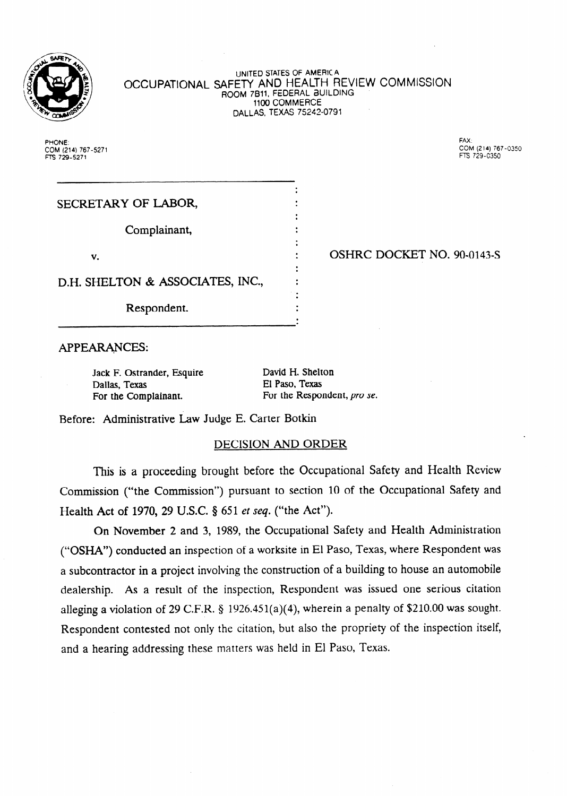

UNJTED STATES OF AMERICA **OCCUPATIONAL** SAFETY AND HEALTH REVIEW COMMISSION ROOM 7811, FEDERAL BUILDING 1100 COMMERCE DALLAS, TEXAS 75242-0791

> . .

. .

. .

 $\ddot{\cdot}$ 

 $\ddot{\cdot}$ 

**PHONE: FAX: COM (214) 767-5271 COM (214) 767-0350 FTS 729-5271 n-s 729-c350** 

a

SECRETARY OF LABOR,

Complainant,

v.

D.H. SHELTON & ASSOCIATES, INC.,

Respondent.

OSHRC DOCKET NO. 90-0143-S

APPEARANCES: .

Jack F. Ostrander, Esquire Dallas, Texas For the Complainant.

David H. Shelton El Paso, Texas For the Respondent, pro se.

Before: Administrative Law Judge E. Carter Botkin

## DECISION AND ORDER

This is a proceeding brought before the Occupational Safety and Health Review Commission ("the Commission") pursuant to section 10 of the Occupational Safety and Health Act of 1970, 29 U.S.C. § 651 et seq. ("the Act").

On November 2 and 3, 1989, the Occupational Safety and Health Administration ("OSHK') conducted an inspection of a worksite in El Paso, Texas, where Respondent was a subcontractor in a project involving the construction of a building to house an automobile dealership. As a result of the inspection, Respondent was issued one serious citation alleging a violation of 29 C.F.R.  $\S$  1926.451(a)(4), wherein a penalty of \$210.00 was sought. Respondent contested not only the citation, but also the propriety of the inspection itself, and a hearing addressing these matters was held in El Paso, Texas.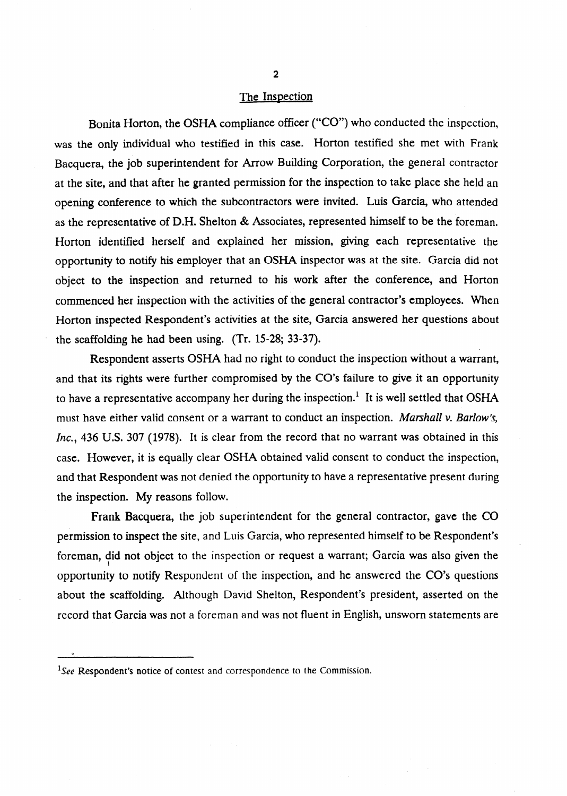#### The Inspection

Bonita Horton, the OSHA compliance officer ("CO") who conducted the inspection, was the only individual who testified in this case. Horton testified she met with Frank Bacquera, the job superintendent for Arrow Building Corporation, the general contractor at the site, and that after he granted permission for the inspection to take place she held an opening conference to which the subcontractors were invited. Luis Garcia, who attended as the representative of D.H. Shelton & Associates, represented himself to be the foreman. Horton identified herself and explained her mission, giving each representative the opportunity to notify his employer that an OSHA inspector was at the site. Garcia did not object to the inspection and returned to his work after the conference, and Horton commenced her inspection with the activities of the general contractor's employees. When Horton inspected Respondent's activities at the site, Garcia answered her questions about the scaffolding he had been using. (Tr. 15-28; 33-37).

Respondent asserts OSHA had no right to conduct the inspection without a warrant, and that its rights were further compromised by the CO's failure to give it an opportunity to have a representative accompany her during the inspection.<sup>1</sup> It is well settled that OSHA must have either valid consent or a warrant to conduct an inspection. Marshall v. Barlow's, Inc., 436 U.S. 307 (1978). It is clear from the record that no warrant was obtained in this case. However, it is equally clear OSHA obtained valid consent to conduct the inspection, and that Respondent was not denied the opportunity to have a representative present during the inspection. My reasons follow.

Frank Bacquera, the job superintendent for the general contractor, gave the CO permission to inspect the site, and Luis Garcia, who represented himself to be Respondent's foreman, did not object to the inspection or request a warrant; Garcia was also given the \ opportunity to notify Respondent of the inspection, and he answered the CO's questions about the scaffolding. Although David Shelton, Respondent's president, asserted on the record that Garcia was not a foreman and was not fluent in English, unsworn statements are

<sup>&</sup>lt;sup>1</sup>See Respondent's notice of contest and correspondence to the Commission.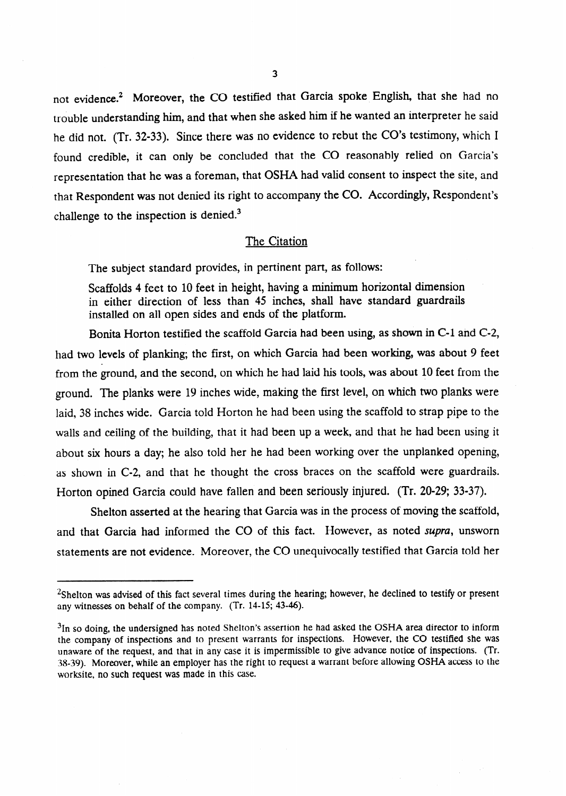not evidence.<sup>2</sup> Moreover, the CO testified that Garcia spoke English, that she had no trouble understanding him, and that when she asked him if he wanted an interpreter he said he did not. (Tr. 32-33). Since there was no evidence to rebut the CO's testimony, which I found credible, it can only be concluded that the CO reasonably relied on Garcia's representation that he was a foreman, that OSHA had valid consent to inspect the site, and that Respondent was not denied its right to accompany the CO. Accordingly, Respondent's challenge to the inspection is denied.<sup>3</sup>

#### The Citation

The subject standard provides, in pertinent part, as follows:

Scaffolds 4 feet to 10 feet in height, having a minimum horizontal dimension in either direction of less than 45 inches, shall have standard guardrails installed on all open sides and ends of the platform.

Bonita Horton testified the scaffold Garcia had been using, as shown in C-1 and C-2, had two levels of planking; the first, on which Garcia had been working, was about 9 feet from the ground, and the second, on which he had laid his tools, was about 10 feet from the ground. The planks were 19 inches wide, making the first level, on which two planks were laid, 38 inches wide. Garcia told Horton he had been using the scaffold to strap pipe to the walls and ceiling of the building, that it had been up a week, and that he had been using it about six hours a day; he also told her he had been working over the unplanked opening, as shown in C-2, and that he thought the cross braces on the scaffold were guardrails. Horton opined Garcia could have fallen and been seriously injured. (Tr. 20-29; 33-37).

Shelton asserted at the hearing that Garcia was in the process of moving the scaffold, and that Garcia had informed the CO of this fact. However, as noted *supra,* unsworn statements are not evidence. Moreover, the CO unequivocally testified that Garcia told her

<sup>&</sup>lt;sup>2</sup>Shelton was advised of this fact several times during the hearing; however, he declined to testify or present any witnesses on behalf of the company. (Tr. 14-15; 43-46).

 $3$ In so doing, the undersigned has noted Shelton's assertion he had asked the OSHA area director to inform the company of inspections and to present warrants for inspections. However, the CO testified she was unaware of the request, and that in any case it is impermissible to give advance notice of inspections. (Tr. 38-39). Moreover, while an employer has the right to request a warrant before allowing OSHA access to the worksite, no such request was made in this case.